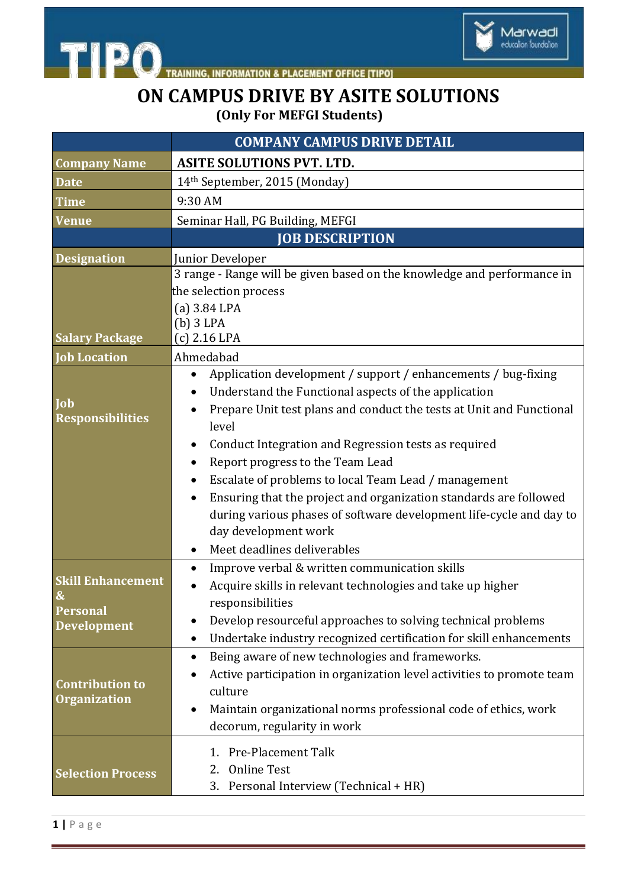



## **ON CAMPUS DRIVE BY ASITE SOLUTIONS (Only For MEFGI Students)**

|                                                                                        | <b>COMPANY CAMPUS DRIVE DETAIL</b>                                                                                                                                                                                                                                                                                                                                                                                                                                                                                                                                         |
|----------------------------------------------------------------------------------------|----------------------------------------------------------------------------------------------------------------------------------------------------------------------------------------------------------------------------------------------------------------------------------------------------------------------------------------------------------------------------------------------------------------------------------------------------------------------------------------------------------------------------------------------------------------------------|
| <b>Company Name</b>                                                                    | <b>ASITE SOLUTIONS PVT. LTD.</b>                                                                                                                                                                                                                                                                                                                                                                                                                                                                                                                                           |
| <b>Date</b>                                                                            | 14th September, 2015 (Monday)                                                                                                                                                                                                                                                                                                                                                                                                                                                                                                                                              |
| <b>Time</b>                                                                            | 9:30 AM                                                                                                                                                                                                                                                                                                                                                                                                                                                                                                                                                                    |
| <b>Venue</b>                                                                           | Seminar Hall, PG Building, MEFGI                                                                                                                                                                                                                                                                                                                                                                                                                                                                                                                                           |
|                                                                                        | <b>JOB DESCRIPTION</b>                                                                                                                                                                                                                                                                                                                                                                                                                                                                                                                                                     |
| <b>Designation</b>                                                                     | Junior Developer                                                                                                                                                                                                                                                                                                                                                                                                                                                                                                                                                           |
| <b>Salary Package</b>                                                                  | 3 range - Range will be given based on the knowledge and performance in<br>the selection process<br>$(a)$ 3.84 LPA<br>$(b)$ 3 LPA<br>$(c)$ 2.16 LPA                                                                                                                                                                                                                                                                                                                                                                                                                        |
| <b>Job Location</b>                                                                    | Ahmedabad                                                                                                                                                                                                                                                                                                                                                                                                                                                                                                                                                                  |
| <b>Job</b><br><b>Responsibilities</b>                                                  | Application development / support / enhancements / bug-fixing<br>Understand the Functional aspects of the application<br>Prepare Unit test plans and conduct the tests at Unit and Functional<br>level<br>Conduct Integration and Regression tests as required<br>$\bullet$<br>Report progress to the Team Lead<br>Escalate of problems to local Team Lead / management<br>Ensuring that the project and organization standards are followed<br>during various phases of software development life-cycle and day to<br>day development work<br>Meet deadlines deliverables |
| <b>Skill Enhancement</b><br>$\boldsymbol{\&}$<br><b>Personal</b><br><b>Development</b> | Improve verbal & written communication skills<br>Acquire skills in relevant technologies and take up higher<br>responsibilities<br>Develop resourceful approaches to solving technical problems<br>Undertake industry recognized certification for skill enhancements                                                                                                                                                                                                                                                                                                      |
| <b>Contribution to</b><br><b>Organization</b>                                          | Being aware of new technologies and frameworks.<br>$\bullet$<br>Active participation in organization level activities to promote team<br>culture<br>Maintain organizational norms professional code of ethics, work<br>decorum, regularity in work                                                                                                                                                                                                                                                                                                                         |
| <b>Selection Process</b>                                                               | 1. Pre-Placement Talk<br><b>Online Test</b><br>2.<br>3.<br>Personal Interview (Technical + HR)                                                                                                                                                                                                                                                                                                                                                                                                                                                                             |